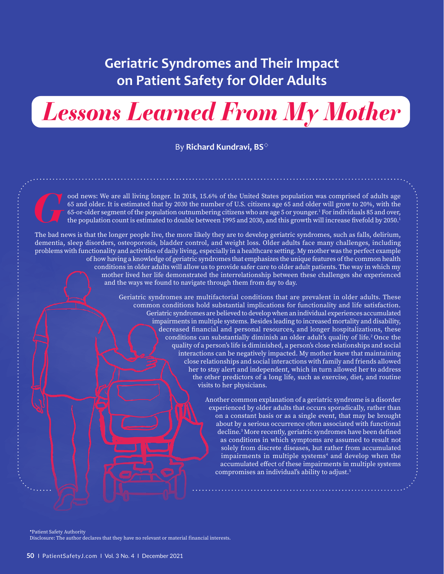# **Geriatric Syndromes and Their Impact on Patient Safety for Older Adults**

*Lessons Learned From My Mother*

By **Richard Kundravi, BS**

*G*ood news: We are all living longer. In 2018, 15.6% of the United States population was comprised of adults age 65 and older. It is estimated that by 2030 the number of U.S. citizens age 65 and older will grow to 20%, with the 65-or-older segment of the population outnumbering citizens who are age 5 or younger. $^1$  For individuals 85 and over, the population count is estimated to double between 1995 and 2030, and this growth will increase fivefold by 2050.<sup>1</sup>

The bad news is that the longer people live, the more likely they are to develop geriatric syndromes, such as falls, delirium, dementia, sleep disorders, osteoporosis, bladder control, and weight loss. Older adults face many challenges, including problems with functionality and activities of daily living, especially in a healthcare setting. My mother was the perfect example of how having a knowledge of geriatric syndromes that emphasizes the unique features of the common health conditions in older adults will allow us to provide safer care to older adult patients. The way in which my mother lived her life demonstrated the interrelationship between these challenges she experienced and the ways we found to navigate through them from day to day.

> Geriatric syndromes are multifactorial conditions that are prevalent in older adults. These common conditions hold substantial implications for functionality and life satisfaction. Geriatric syndromes are believed to develop when an individual experiences accumulated impairments in multiple systems. Besides leading to increased mortality and disability, decreased financial and personal resources, and longer hospitalizations, these conditions can substantially diminish an older adult's quality of life.<sup>2</sup> Once the quality of a person's life is diminished, a person's close relationships and social interactions can be negatively impacted. My mother knew that maintaining close relationships and social interactions with family and friends allowed her to stay alert and independent, which in turn allowed her to address the other predictors of a long life, such as exercise, diet, and routine visits to her physicians.

> > Another common explanation of a geriatric syndrome is a disorder experienced by older adults that occurs sporadically, rather than on a constant basis or as a single event, that may be brought about by a serious occurrence often associated with functional decline.3 More recently, geriatric syndromes have been defined as conditions in which symptoms are assumed to result not solely from discrete diseases, but rather from accumulated impairments in multiple systems<sup>4</sup> and develop when the accumulated effect of these impairments in multiple systems compromises an individual's ability to adjust.5

Patient Safety Authority

Disclosure: The author declares that they have no relevant or material financial interests.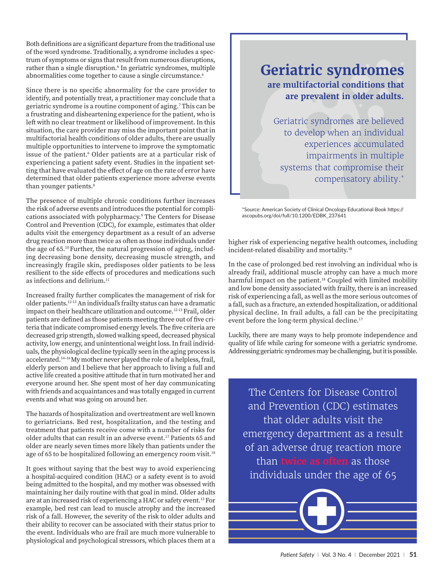Both definitions are a significant departure from the traditional use of the word syndrome. Traditionally, a syndrome includes a spectrum of symptoms or signs that result from numerous disruptions, rather than a single disruption.<sup>6</sup> In geriatric syndromes, multiple abnormalities come together to cause a single circumstance.<sup>6</sup>

Since there is no specific abnormality for the care provider to identify, and potentially treat, a practitioner may conclude that a geriatric syndrome is a routine component of aging.7 This can be a frustrating and disheartening experience for the patient, who is left with no clear treatment or likelihood of improvement. In this situation, the care provider may miss the important point that in multifactorial health conditions of older adults, there are usually multiple opportunities to intervene to improve the symptomatic issue of the patient.6 Older patients are at a particular risk of experiencing a patient safety event. Studies in the inpatient setting that have evaluated the effect of age on the rate of error have determined that older patients experience more adverse events than younger patients.<sup>8</sup>

The presence of multiple chronic conditions further increases the risk of adverse events and introduces the potential for complications associated with polypharmacy.9 The Centers for Disease Control and Prevention (CDC), for example, estimates that older adults visit the emergency department as a result of an adverse drug reaction more than twice as often as those individuals under the age of 65.10 Further, the natural progression of aging, including decreasing bone density, decreasing muscle strength, and increasingly fragile skin, predisposes older patients to be less resilient to the side effects of procedures and medications such as infections and delirium.<sup>11</sup>

Increased frailty further complicates the management of risk for older patients.12-13 An individual's frailty status can have a dramatic impact on their healthcare utilization and outcome.12-13 Frail, older patients are defined as those patients meeting three out of five criteria that indicate compromised energy levels. The five criteria are decreased grip strength, slowed walking speed, decreased physical activity, low energy, and unintentional weight loss. In frail individuals, the physiological decline typically seen in the aging process is accelerated.14–16 My mother never played the role of a helpless, frail, elderly person and I believe that her approach to living a full and active life created a positive attitude that in turn motivated her and everyone around her. She spent most of her day communicating with friends and acquaintances and was totally engaged in current events and what was going on around her.

The hazards of hospitalization and overtreatment are well known to geriatricians. Bed rest, hospitalization, and the testing and treatment that patients receive come with a number of risks for older adults that can result in an adverse event.<sup>17</sup> Patients 65 and older are nearly seven times more likely than patients under the age of 65 to be hospitalized following an emergency room visit.<sup>18</sup>

It goes without saying that the best way to avoid experiencing a hospital-acquired condition (HAC) or a safety event is to avoid being admitted to the hospital, and my mother was obsessed with maintaining her daily routine with that goal in mind. Older adults are at an increased risk of experiencing a HAC or safety event.13 For example, bed rest can lead to muscle atrophy and the increased risk of a fall. However, the severity of the risk to older adults and their ability to recover can be associated with their status prior to the event. Individuals who are frail are much more vulnerable to physiological and psychological stressors, which places them at a

## **are multifactorial conditions that are prevalent in older adults. Geriatric syndromes**

Geriatric syndromes are believed to develop when an individual experiences accumulated impairments in multiple systems that compromise their compensatory ability.\*

\*Source: American Society of Clinical Oncology Educational Book https:// ascopubs.org/doi/full/10.1200/EDBK\_237641

higher risk of experiencing negative health outcomes, including incident-related disability and mortality.18

In the case of prolonged bed rest involving an individual who is already frail, additional muscle atrophy can have a much more harmful impact on the patient.<sup>18</sup> Coupled with limited mobility and low bone density associated with frailty, there is an increased risk of experiencing a fall, as well as the more serious outcomes of a fall, such as a fracture, an extended hospitalization, or additional physical decline. In frail adults, a fall can be the precipitating event before the long-term physical decline.17

Luckily, there are many ways to help promote independence and quality of life while caring for someone with a geriatric syndrome. Addressing geriatric syndromes may be challenging, but it is possible.

The Centers for Disease Control and Prevention (CDC) estimates that older adults visit the emergency department as a result of an adverse drug reaction more than **twice as often** as those individuals under the age of 65

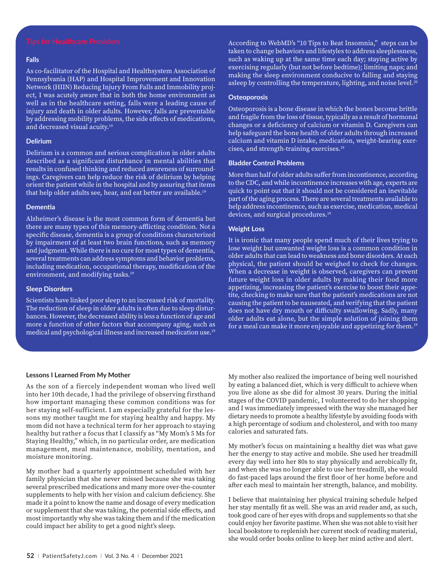#### **Falls**

As co-facilitator of the Hospital and Healthsystem Association of Pennsylvania (HAP) and Hospital Improvement and Innovation Network (HIIN) Reducing Injury From Falls and Immobility project, I was acutely aware that in both the home environment as well as in the healthcare setting, falls were a leading cause of injury and death in older adults. However, falls are preventable by addressing mobility problems, the side effects of medications, and decreased visual acuity.<sup>19</sup>

#### **Delirium**

Delirium is a common and serious complication in older adults described as a significant disturbance in mental abilities that results in confused thinking and reduced awareness of surroundings. Caregivers can help reduce the risk of delirium by helping orient the patient while in the hospital and by assuring that items that help older adults see, hear, and eat better are available.19

#### **Dementia**

Alzheimer's disease is the most common form of dementia but there are many types of this memory-afflicting condition. Not a specific disease, dementia is a group of conditions characterized by impairment of at least two brain functions, such as memory and judgment. While there is no cure for most types of dementia, several treatments can address symptoms and behavior problems, including medication, occupational therapy, modification of the environment, and modifying tasks.<sup>19</sup>

#### **Sleep Disorders**

Scientists have linked poor sleep to an increased risk of mortality. The reduction of sleep in older adults is often due to sleep disturbances. However, the decreased ability is less a function of age and more a function of other factors that accompany aging, such as medical and psychological illness and increased medication use.19

According to WebMD's "10 Tips to Beat Insomnia," steps can be taken to change behaviors and lifestyles to address sleeplessness, such as waking up at the same time each day; staying active by exercising regularly (but not before bedtime); limiting naps; and making the sleep environment conducive to falling and staying asleep by controlling the temperature, lighting, and noise level.<sup>20</sup>

#### **Osteoporosis**

Osteoporosis is a bone disease in which the bones become brittle and fragile from the loss of tissue, typically as a result of hormonal changes or a deficiency of calcium or vitamin D. Caregivers can help safeguard the bone health of older adults through increased calcium and vitamin D intake, medication, weight-bearing exercises, and strength-training exercises.19

#### **Bladder Control Problems**

More than half of older adults suffer from incontinence, according to the CDC, and while incontinence increases with age, experts are quick to point out that it should not be considered an inevitable part of the aging process. There are several treatments available to help address incontinence, such as exercise, medication, medical devices, and surgical procedures.<sup>19</sup>

#### **Weight Loss**

It is ironic that many people spend much of their lives trying to lose weight but unwanted weight loss is a common condition in older adults that can lead to weakness and bone disorders. At each physical, the patient should be weighed to check for changes. When a decrease in weight is observed, caregivers can prevent future weight loss in older adults by making their food more appetizing, increasing the patient's exercise to boost their appetite, checking to make sure that the patient's medications are not causing the patient to be nauseated, and verifying that the patient does not have dry mouth or difficulty swallowing. Sadly, many older adults eat alone, but the simple solution of joining them for a meal can make it more enjoyable and appetizing for them.<sup>19</sup>

#### **Lessons I Learned From My Mother**

As the son of a fiercely independent woman who lived well into her 10th decade, I had the privilege of observing firsthand how important managing these common conditions was for her staying self-sufficient. I am especially grateful for the lessons my mother taught me for staying healthy and happy. My mom did not have a technical term for her approach to staying healthy but rather a focus that I classify as "My Mom's 5 Ms for Staying Healthy," which, in no particular order, are medication management, meal maintenance, mobility, mentation, and moisture monitoring.

My mother had a quarterly appointment scheduled with her family physician that she never missed because she was taking several prescribed medications and many more over-the-counter supplements to help with her vision and calcium deficiency. She made it a point to know the name and dosage of every medication or supplement that she was taking, the potential side effects, and most importantly why she was taking them and if the medication could impact her ability to get a good night's sleep.

My mother also realized the importance of being well nourished by eating a balanced diet, which is very difficult to achieve when you live alone as she did for almost 30 years. During the initial stages of the COVID pandemic, I volunteered to do her shopping and I was immediately impressed with the way she managed her dietary needs to promote a healthy lifestyle by avoiding foods with a high percentage of sodium and cholesterol, and with too many calories and saturated fats.

My mother's focus on maintaining a healthy diet was what gave her the energy to stay active and mobile. She used her treadmill every day well into her 80s to stay physically and aerobically fit, and when she was no longer able to use her treadmill, she would do fast-paced laps around the first floor of her home before and after each meal to maintain her strength, balance, and mobility.

I believe that maintaining her physical training schedule helped her stay mentally fit as well. She was an avid reader and, as such, took good care of her eyes with drops and supplements so that she could enjoy her favorite pastime. When she was not able to visit her local bookstore to replenish her current stock of reading material, she would order books online to keep her mind active and alert.